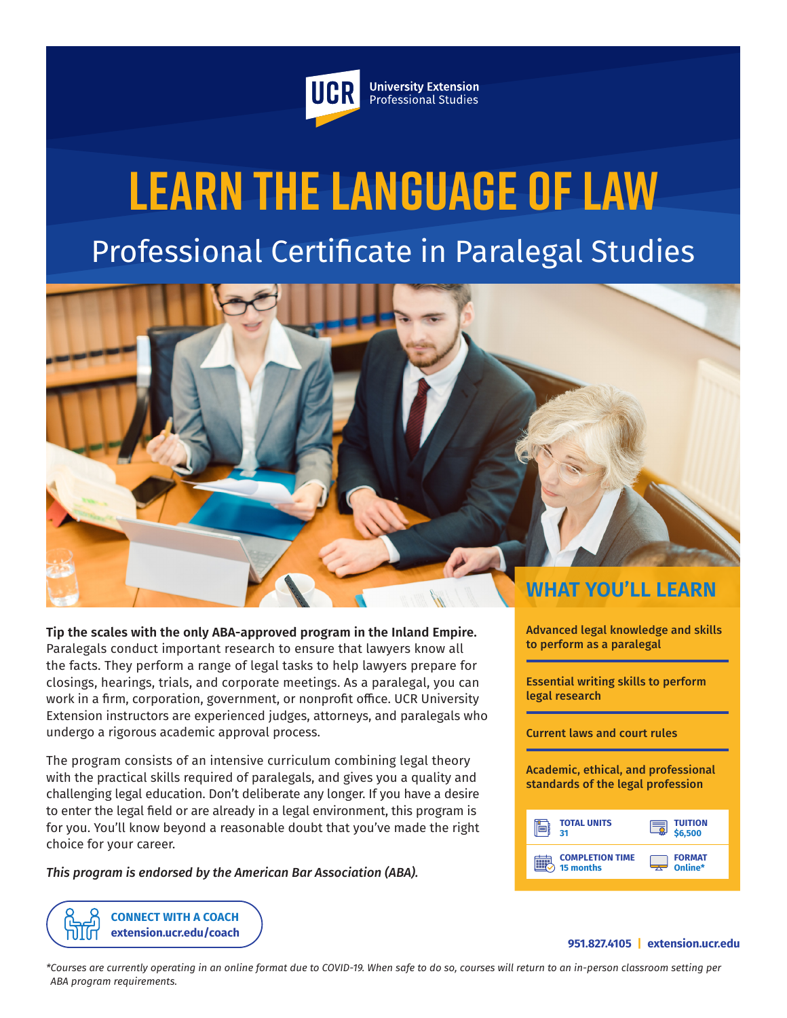

**University Extension** Professional Studies

# **Learn the Language of Law** Professional Certificate in Paralegal Studies



**Tip the scales with the only ABA-approved program in the Inland Empire.** Paralegals conduct important research to ensure that lawyers know all the facts. They perform a range of legal tasks to help lawyers prepare for closings, hearings, trials, and corporate meetings. As a paralegal, you can work in a firm, corporation, government, or nonprofit office. UCR University Extension instructors are experienced judges, attorneys, and paralegals who undergo a rigorous academic approval process.

The program consists of an intensive curriculum combining legal theory with the practical skills required of paralegals, and gives you a quality and challenging legal education. Don't deliberate any longer. If you have a desire to enter the legal field or are already in a legal environment, this program is for you. You'll know beyond a reasonable doubt that you've made the right choice for your career.

*This program is endorsed by the American Bar Association (ABA).*

**[CONNECT WITH A COACH](https://extension.ucr.edu/studentresources/studentsuccesscoaches/studentsuccesscoaches) [extension.ucr.edu/coach](http://extension.ucr.edu/coach)** Advanced legal knowledge and skills to perform as a paralegal

Essential writing skills to perform legal research

Current laws and court rules

Academic, ethical, and professional standards of the legal profession



#### **951.827.4105 | [extension.ucr.edu](http://extension.ucr.edu)**

*\*Courses are currently operating in an online format due to COVID-19. When safe to do so, courses will return to an in-person classroom setting per ABA program requirements.*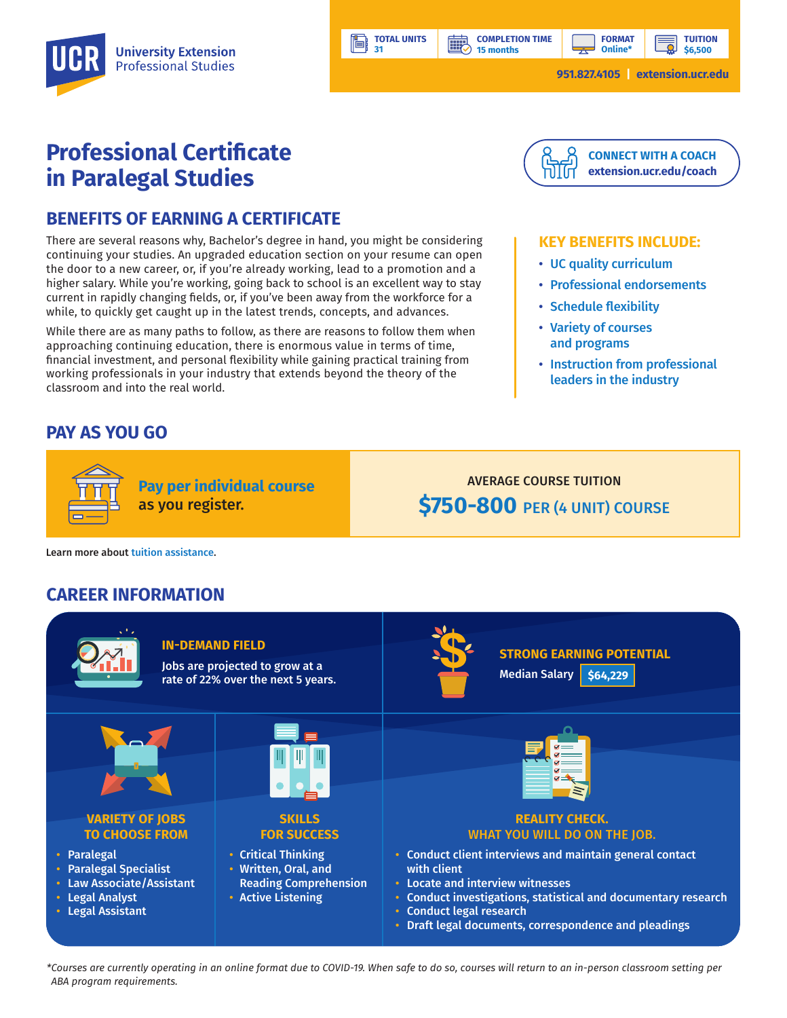**15 months**

**BBP** 

**TUITION \$6,500**

# **Professional Certificate in Paralegal Studies**

### **BENEFITS OF EARNING A CERTIFICATE**

There are several reasons why, Bachelor's degree in hand, you might be considering continuing your studies. An upgraded education section on your resume can open the door to a new career, or, if you're already working, lead to a promotion and a higher salary. While you're working, going back to school is an excellent way to stay current in rapidly changing fields, or, if you've been away from the workforce for a while, to quickly get caught up in the latest trends, concepts, and advances.

While there are as many paths to follow, as there are reasons to follow them when approaching continuing education, there is enormous value in terms of time, financial investment, and personal flexibility while gaining practical training from working professionals in your industry that extends beyond the theory of the classroom and into the real world.

**Pay per individual course**

as you register.

## **PAY AS YOU GO**



#### **KEY BENEFITS INCLUDE:**

- UC quality curriculum
- Professional endorsements
- Schedule flexibility
- Variety of courses and programs
- Instruction from professional leaders in the industry

# AVERAGE COURSE TUITION **\$750-800** PER (4 UNIT) COURSE

Learn more about [tuition assistance](https://extension.ucr.edu/helpcenterstudentresources/financialandtuitionassistance).

## **CAREER INFORMATION**



**TOTAL UNITS 31** 

ľ۸

*\*Courses are currently operating in an online format due to COVID-19. When safe to do so, courses will return to an in-person classroom setting per ABA program requirements.*